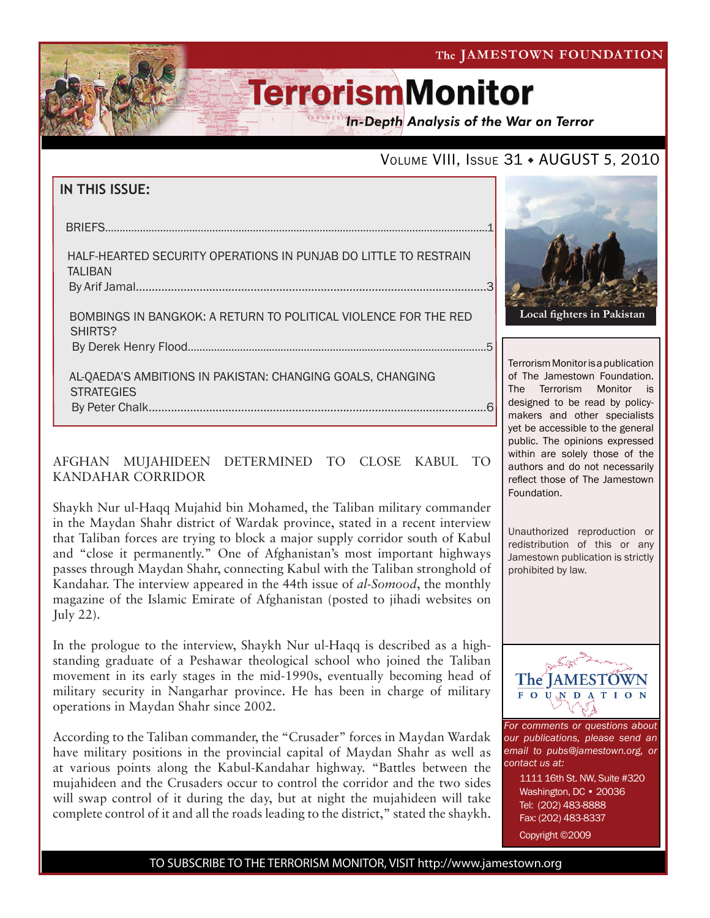The JAMESTOWN FOUNDATION

# **TerrorismMonitor**

In-Depth Analysis of the War on Terror

### VOLUME VIII, ISSUE 31 + AUGUST 5, 2010

| IN THIS ISSUE: |  |
|----------------|--|
|----------------|--|

| HALF-HEARTED SECURITY OPERATIONS IN PUNJAB DO LITTLE TO RESTRAIN<br><b>TALIBAN</b> |  |
|------------------------------------------------------------------------------------|--|
| BOMBINGS IN BANGKOK: A RETURN TO POLITICAL VIOLENCE FOR THE RED<br>SHIRTS?         |  |
|                                                                                    |  |

 al-qaeda's ambitions in pakistan: changing goals, changing **STRATEGIES** By Peter Chalk..........................................................................................................6

#### AFGHAN MUJAHIDEEN DETERMINED TO CLOSE KABUL TO KANDAHAR CORRIDOR

Shaykh Nur ul-Haqq Mujahid bin Mohamed, the Taliban military commander in the Maydan Shahr district of Wardak province, stated in a recent interview that Taliban forces are trying to block a major supply corridor south of Kabul and "close it permanently." One of Afghanistan's most important highways passes through Maydan Shahr, connecting Kabul with the Taliban stronghold of Kandahar. The interview appeared in the 44th issue of *al-Somood*, the monthly magazine of the Islamic Emirate of Afghanistan (posted to jihadi websites on July 22).

In the prologue to the interview, Shaykh Nur ul-Haqq is described as a highstanding graduate of a Peshawar theological school who joined the Taliban movement in its early stages in the mid-1990s, eventually becoming head of military security in Nangarhar province. He has been in charge of military operations in Maydan Shahr since 2002.

According to the Taliban commander, the "Crusader" forces in Maydan Wardak have military positions in the provincial capital of Maydan Shahr as well as at various points along the Kabul-Kandahar highway. "Battles between the mujahideen and the Crusaders occur to control the corridor and the two sides will swap control of it during the day, but at night the mujahideen will take complete control of it and all the roads leading to the district," stated the shaykh.



Terrorism Monitor is a publication of The Jamestown Foundation. The Terrorism Monitor is designed to be read by policymakers and other specialists yet be accessible to the general public. The opinions expressed within are solely those of the authors and do not necessarily reflect those of The Jamestown Foundation.

Unauthorized reproduction or redistribution of this or any Jamestown publication is strictly prohibited by law.



*For comments or questions about our publications, please send an email to pubs@jamestown.org, or contact us at:* 

> 1111 16th St. NW, Suite #320 Washington, DC • 20036 Tel: (202) 483-8888 Fax: (202) 483-8337

Copyright ©2009

TO SUBSCRIBE TO THE TERRORISM MONITOR, VISIT http://www.jamestown.org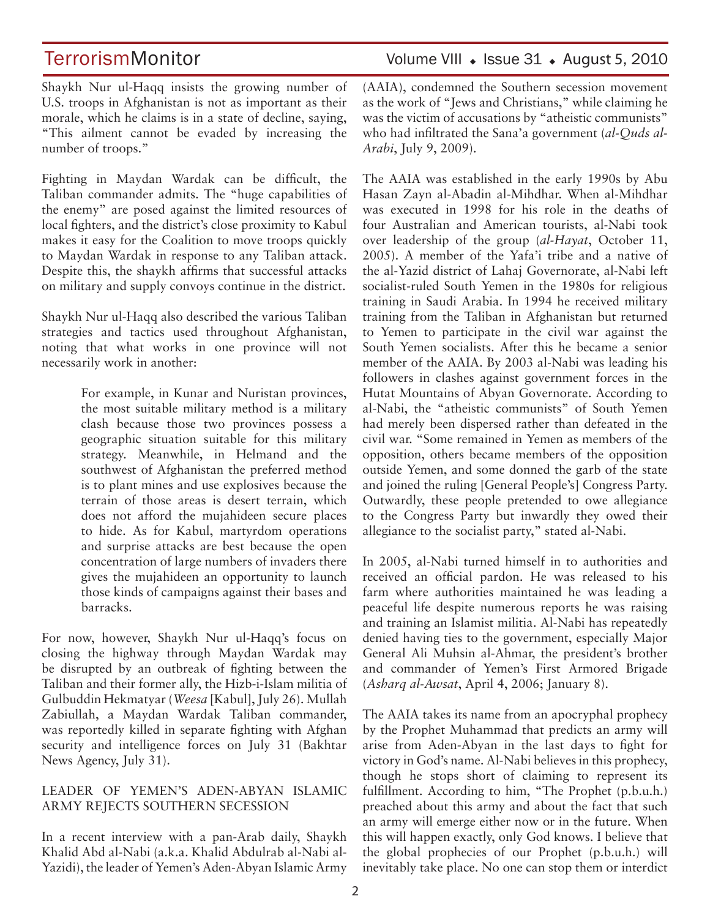Shaykh Nur ul-Haqq insists the growing number of U.S. troops in Afghanistan is not as important as their morale, which he claims is in a state of decline, saying, "This ailment cannot be evaded by increasing the number of troops."

Fighting in Maydan Wardak can be difficult, the Taliban commander admits. The "huge capabilities of the enemy" are posed against the limited resources of local fighters, and the district's close proximity to Kabul makes it easy for the Coalition to move troops quickly to Maydan Wardak in response to any Taliban attack. Despite this, the shaykh affirms that successful attacks on military and supply convoys continue in the district.

Shaykh Nur ul-Haqq also described the various Taliban strategies and tactics used throughout Afghanistan, noting that what works in one province will not necessarily work in another:

> For example, in Kunar and Nuristan provinces, the most suitable military method is a military clash because those two provinces possess a geographic situation suitable for this military strategy. Meanwhile, in Helmand and the southwest of Afghanistan the preferred method is to plant mines and use explosives because the terrain of those areas is desert terrain, which does not afford the mujahideen secure places to hide. As for Kabul, martyrdom operations and surprise attacks are best because the open concentration of large numbers of invaders there gives the mujahideen an opportunity to launch those kinds of campaigns against their bases and barracks.

For now, however, Shaykh Nur ul-Haqq's focus on closing the highway through Maydan Wardak may be disrupted by an outbreak of fighting between the Taliban and their former ally, the Hizb-i-Islam militia of Gulbuddin Hekmatyar (*Weesa* [Kabul], July 26). Mullah Zabiullah, a Maydan Wardak Taliban commander, was reportedly killed in separate fighting with Afghan security and intelligence forces on July 31 (Bakhtar News Agency, July 31).

#### LEADER OF YEMEN'S ADEN-ABYAN ISLAMIC ARMY REJECTS SOUTHERN SECESSION

In a recent interview with a pan-Arab daily, Shaykh Khalid Abd al-Nabi (a.k.a. Khalid Abdulrab al-Nabi al-Yazidi), the leader of Yemen's Aden-Abyan Islamic Army (AAIA), condemned the Southern secession movement as the work of "Jews and Christians," while claiming he was the victim of accusations by "atheistic communists" who had infiltrated the Sana'a government (*al-Quds al-Arabi*, July 9, 2009).

The AAIA was established in the early 1990s by Abu Hasan Zayn al-Abadin al-Mihdhar. When al-Mihdhar was executed in 1998 for his role in the deaths of four Australian and American tourists, al-Nabi took over leadership of the group (*al-Hayat*, October 11, 2005). A member of the Yafa'i tribe and a native of the al-Yazid district of Lahaj Governorate, al-Nabi left socialist-ruled South Yemen in the 1980s for religious training in Saudi Arabia. In 1994 he received military training from the Taliban in Afghanistan but returned to Yemen to participate in the civil war against the South Yemen socialists. After this he became a senior member of the AAIA. By 2003 al-Nabi was leading his followers in clashes against government forces in the Hutat Mountains of Abyan Governorate. According to al-Nabi, the "atheistic communists" of South Yemen had merely been dispersed rather than defeated in the civil war. "Some remained in Yemen as members of the opposition, others became members of the opposition outside Yemen, and some donned the garb of the state and joined the ruling [General People's] Congress Party. Outwardly, these people pretended to owe allegiance to the Congress Party but inwardly they owed their allegiance to the socialist party," stated al-Nabi.

In 2005, al-Nabi turned himself in to authorities and received an official pardon. He was released to his farm where authorities maintained he was leading a peaceful life despite numerous reports he was raising and training an Islamist militia. Al-Nabi has repeatedly denied having ties to the government, especially Major General Ali Muhsin al-Ahmar, the president's brother and commander of Yemen's First Armored Brigade (*Asharq al-Awsat*, April 4, 2006; January 8).

The AAIA takes its name from an apocryphal prophecy by the Prophet Muhammad that predicts an army will arise from Aden-Abyan in the last days to fight for victory in God's name. Al-Nabi believes in this prophecy, though he stops short of claiming to represent its fulfillment. According to him, "The Prophet (p.b.u.h.) preached about this army and about the fact that such an army will emerge either now or in the future. When this will happen exactly, only God knows. I believe that the global prophecies of our Prophet (p.b.u.h.) will inevitably take place. No one can stop them or interdict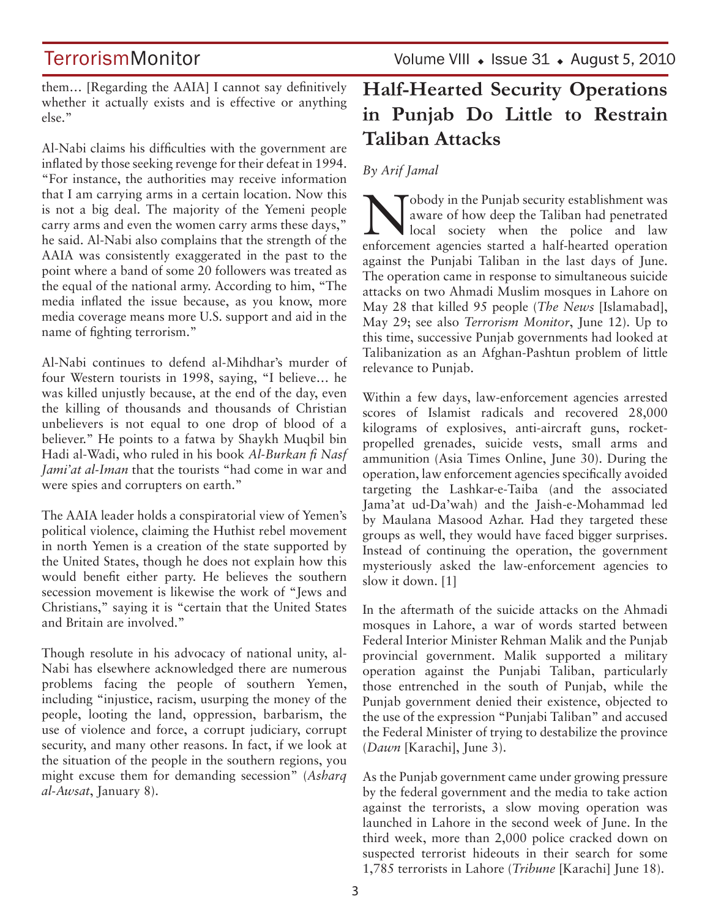# **TerrorismMonitor**

Volume VIII  $\cdot$  Issue 31  $\cdot$  August 5, 2010

them… [Regarding the AAIA] I cannot say definitively whether it actually exists and is effective or anything else."

Al-Nabi claims his difficulties with the government are inflated by those seeking revenge for their defeat in 1994. "For instance, the authorities may receive information that I am carrying arms in a certain location. Now this is not a big deal. The majority of the Yemeni people carry arms and even the women carry arms these days," he said. Al-Nabi also complains that the strength of the AAIA was consistently exaggerated in the past to the point where a band of some 20 followers was treated as the equal of the national army. According to him, "The media inflated the issue because, as you know, more media coverage means more U.S. support and aid in the name of fighting terrorism."

Al-Nabi continues to defend al-Mihdhar's murder of four Western tourists in 1998, saying, "I believe… he was killed unjustly because, at the end of the day, even the killing of thousands and thousands of Christian unbelievers is not equal to one drop of blood of a believer." He points to a fatwa by Shaykh Muqbil bin Hadi al-Wadi, who ruled in his book *Al-Burkan fi Nasf Jami'at al-Iman* that the tourists "had come in war and were spies and corrupters on earth."

The AAIA leader holds a conspiratorial view of Yemen's political violence, claiming the Huthist rebel movement in north Yemen is a creation of the state supported by the United States, though he does not explain how this would benefit either party. He believes the southern secession movement is likewise the work of "Jews and Christians," saying it is "certain that the United States and Britain are involved."

Though resolute in his advocacy of national unity, al-Nabi has elsewhere acknowledged there are numerous problems facing the people of southern Yemen, including "injustice, racism, usurping the money of the people, looting the land, oppression, barbarism, the use of violence and force, a corrupt judiciary, corrupt security, and many other reasons. In fact, if we look at the situation of the people in the southern regions, you might excuse them for demanding secession" (*Asharq al-Awsat*, January 8).

# **Half-Hearted Security Operations in Punjab Do Little to Restrain Taliban Attacks**

### *By Arif Jamal*

Nobody in the Punjab security establishment was<br>aware of how deep the Taliban had penetrated<br>local society when the police and law aware of how deep the Taliban had penetrated local society when the police and law enforcement agencies started a half-hearted operation against the Punjabi Taliban in the last days of June. The operation came in response to simultaneous suicide attacks on two Ahmadi Muslim mosques in Lahore on May 28 that killed 95 people (*The News* [Islamabad], May 29; see also *Terrorism Monitor*, June 12). Up to this time, successive Punjab governments had looked at Talibanization as an Afghan-Pashtun problem of little relevance to Punjab.

Within a few days, law-enforcement agencies arrested scores of Islamist radicals and recovered 28,000 kilograms of explosives, anti-aircraft guns, rocketpropelled grenades, suicide vests, small arms and ammunition (Asia Times Online, June 30). During the operation, law enforcement agencies specifically avoided targeting the Lashkar-e-Taiba (and the associated Jama'at ud-Da'wah) and the Jaish-e-Mohammad led by Maulana Masood Azhar. Had they targeted these groups as well, they would have faced bigger surprises. Instead of continuing the operation, the government mysteriously asked the law-enforcement agencies to slow it down. [1]

In the aftermath of the suicide attacks on the Ahmadi mosques in Lahore, a war of words started between Federal Interior Minister Rehman Malik and the Punjab provincial government. Malik supported a military operation against the Punjabi Taliban, particularly those entrenched in the south of Punjab, while the Punjab government denied their existence, objected to the use of the expression "Punjabi Taliban" and accused the Federal Minister of trying to destabilize the province (*Dawn* [Karachi], June 3).

As the Punjab government came under growing pressure by the federal government and the media to take action against the terrorists, a slow moving operation was launched in Lahore in the second week of June. In the third week, more than 2,000 police cracked down on suspected terrorist hideouts in their search for some 1,785 terrorists in Lahore (*Tribune* [Karachi] June 18).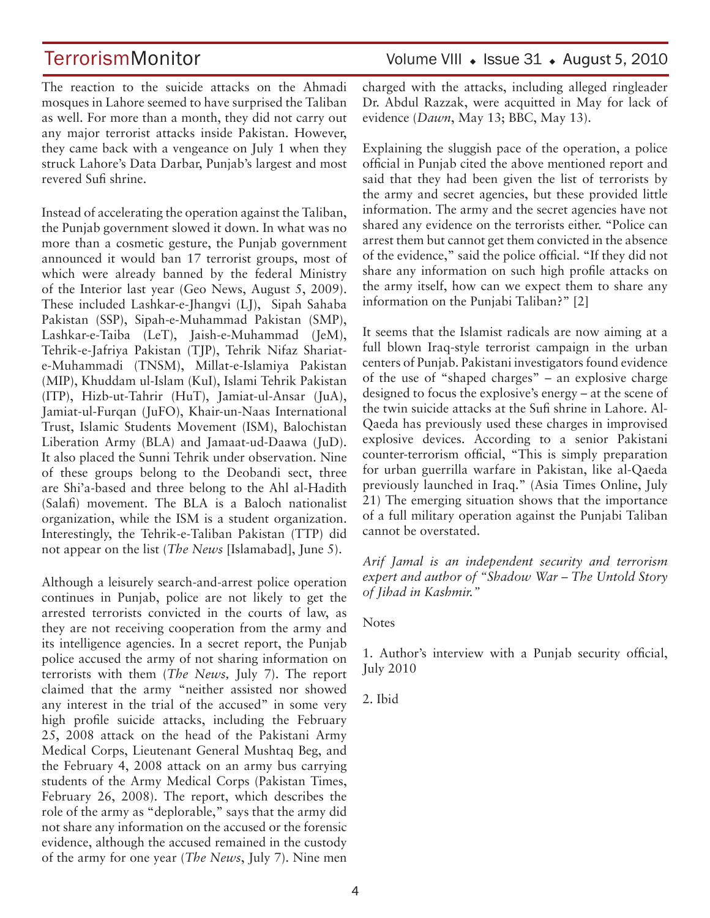TerrorismMonitor Volume VIII • Issue 31 • August 5, 2010

The reaction to the suicide attacks on the Ahmadi mosques in Lahore seemed to have surprised the Taliban as well. For more than a month, they did not carry out any major terrorist attacks inside Pakistan. However, they came back with a vengeance on July 1 when they struck Lahore's Data Darbar, Punjab's largest and most revered Sufi shrine.

Instead of accelerating the operation against the Taliban, the Punjab government slowed it down. In what was no more than a cosmetic gesture, the Punjab government announced it would ban 17 terrorist groups, most of which were already banned by the federal Ministry of the Interior last year (Geo News, August 5, 2009). These included Lashkar-e-Jhangvi (LJ), Sipah Sahaba Pakistan (SSP), Sipah-e-Muhammad Pakistan (SMP), Lashkar-e-Taiba (LeT), Jaish-e-Muhammad (JeM), Tehrik-e-Jafriya Pakistan (TJP), Tehrik Nifaz Shariate-Muhammadi (TNSM), Millat-e-Islamiya Pakistan (MIP), Khuddam ul-Islam (KuI), Islami Tehrik Pakistan (ITP), Hizb-ut-Tahrir (HuT), Jamiat-ul-Ansar (JuA), Jamiat-ul-Furqan (JuFO), Khair-un-Naas International Trust, Islamic Students Movement (ISM), Balochistan Liberation Army (BLA) and Jamaat-ud-Daawa (JuD). It also placed the Sunni Tehrik under observation. Nine of these groups belong to the Deobandi sect, three are Shi'a-based and three belong to the Ahl al-Hadith (Salafi) movement. The BLA is a Baloch nationalist organization, while the ISM is a student organization. Interestingly, the Tehrik-e-Taliban Pakistan (TTP) did not appear on the list (*The News* [Islamabad], June 5).

Although a leisurely search-and-arrest police operation continues in Punjab, police are not likely to get the arrested terrorists convicted in the courts of law, as they are not receiving cooperation from the army and its intelligence agencies. In a secret report, the Punjab police accused the army of not sharing information on terrorists with them (*The News,* July 7). The report claimed that the army "neither assisted nor showed any interest in the trial of the accused" in some very high profile suicide attacks, including the February 25, 2008 attack on the head of the Pakistani Army Medical Corps, Lieutenant General Mushtaq Beg, and the February 4, 2008 attack on an army bus carrying students of the Army Medical Corps (Pakistan Times, February 26, 2008). The report, which describes the role of the army as "deplorable," says that the army did not share any information on the accused or the forensic evidence, although the accused remained in the custody of the army for one year (*The News*, July 7). Nine men charged with the attacks, including alleged ringleader Dr. Abdul Razzak, were acquitted in May for lack of evidence (*Dawn*, May 13; BBC, May 13).

Explaining the sluggish pace of the operation, a police official in Punjab cited the above mentioned report and said that they had been given the list of terrorists by the army and secret agencies, but these provided little information. The army and the secret agencies have not shared any evidence on the terrorists either. "Police can arrest them but cannot get them convicted in the absence of the evidence," said the police official. "If they did not share any information on such high profile attacks on the army itself, how can we expect them to share any information on the Punjabi Taliban?" [2]

It seems that the Islamist radicals are now aiming at a full blown Iraq-style terrorist campaign in the urban centers of Punjab. Pakistani investigators found evidence of the use of "shaped charges" – an explosive charge designed to focus the explosive's energy – at the scene of the twin suicide attacks at the Sufi shrine in Lahore. Al-Qaeda has previously used these charges in improvised explosive devices. According to a senior Pakistani counter-terrorism official, "This is simply preparation for urban guerrilla warfare in Pakistan, like al-Qaeda previously launched in Iraq." (Asia Times Online, July 21) The emerging situation shows that the importance of a full military operation against the Punjabi Taliban cannot be overstated.

*Arif Jamal is an independent security and terrorism expert and author of "Shadow War – The Untold Story of Jihad in Kashmir."*

**Notes** 

1. Author's interview with a Punjab security official, July 2010

2. Ibid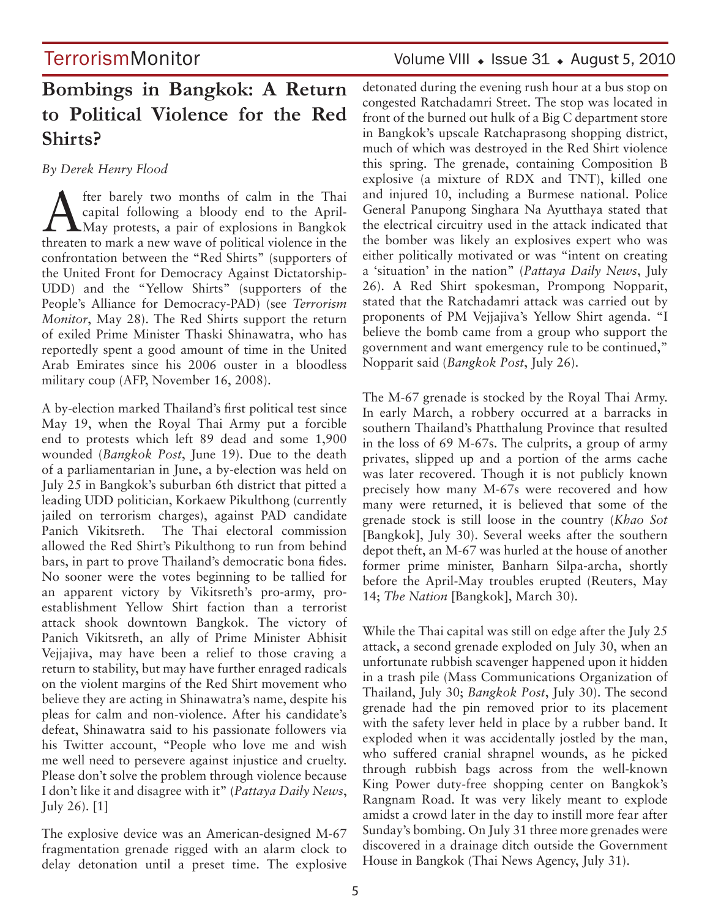## **TerrorismMonitor**

# **Bombings in Bangkok: A Return to Political Violence for the Red Shirts?**

*By Derek Henry Flood* 

After barely two months of calm in the Thai<br>
Capital following a bloody end to the April-<br>
May protests, a pair of explosions in Bangkok<br>
these to may a new wave of political violence in the capital following a bloody end to the Aprilthreaten to mark a new wave of political violence in the confrontation between the "Red Shirts" (supporters of the United Front for Democracy Against Dictatorship-UDD) and the "Yellow Shirts" (supporters of the People's Alliance for Democracy-PAD) (see *Terrorism Monitor*, May 28). The Red Shirts support the return of exiled Prime Minister Thaski Shinawatra, who has reportedly spent a good amount of time in the United Arab Emirates since his 2006 ouster in a bloodless military coup (AFP, November 16, 2008).

A by-election marked Thailand's first political test since May 19, when the Royal Thai Army put a forcible end to protests which left 89 dead and some 1,900 wounded (*Bangkok Post*, June 19). Due to the death of a parliamentarian in June, a by-election was held on July 25 in Bangkok's suburban 6th district that pitted a leading UDD politician, Korkaew Pikulthong (currently jailed on terrorism charges), against PAD candidate Panich Vikitsreth. The Thai electoral commission allowed the Red Shirt's Pikulthong to run from behind bars, in part to prove Thailand's democratic bona fides. No sooner were the votes beginning to be tallied for an apparent victory by Vikitsreth's pro-army, proestablishment Yellow Shirt faction than a terrorist attack shook downtown Bangkok. The victory of Panich Vikitsreth, an ally of Prime Minister Abhisit Vejjajiva, may have been a relief to those craving a return to stability, but may have further enraged radicals on the violent margins of the Red Shirt movement who believe they are acting in Shinawatra's name, despite his pleas for calm and non-violence. After his candidate's defeat, Shinawatra said to his passionate followers via his Twitter account, "People who love me and wish me well need to persevere against injustice and cruelty. Please don't solve the problem through violence because I don't like it and disagree with it" (*Pattaya Daily News*, July 26). [1]

The explosive device was an American-designed M-67 fragmentation grenade rigged with an alarm clock to delay detonation until a preset time. The explosive detonated during the evening rush hour at a bus stop on congested Ratchadamri Street. The stop was located in front of the burned out hulk of a Big C department store in Bangkok's upscale Ratchaprasong shopping district, much of which was destroyed in the Red Shirt violence this spring. The grenade, containing Composition B explosive (a mixture of RDX and TNT), killed one and injured 10, including a Burmese national. Police General Panupong Singhara Na Ayutthaya stated that the electrical circuitry used in the attack indicated that the bomber was likely an explosives expert who was either politically motivated or was "intent on creating a 'situation' in the nation" (*Pattaya Daily News*, July 26). A Red Shirt spokesman, Prompong Nopparit, stated that the Ratchadamri attack was carried out by proponents of PM Vejjajiva's Yellow Shirt agenda. "I believe the bomb came from a group who support the government and want emergency rule to be continued," Nopparit said (*Bangkok Post*, July 26).

The M-67 grenade is stocked by the Royal Thai Army. In early March, a robbery occurred at a barracks in southern Thailand's Phatthalung Province that resulted in the loss of 69 M-67s. The culprits, a group of army privates, slipped up and a portion of the arms cache was later recovered. Though it is not publicly known precisely how many M-67s were recovered and how many were returned, it is believed that some of the grenade stock is still loose in the country (*Khao Sot*  [Bangkok], July 30). Several weeks after the southern depot theft, an M-67 was hurled at the house of another former prime minister, Banharn Silpa-archa, shortly before the April-May troubles erupted (Reuters, May 14; *The Nation* [Bangkok], March 30).

While the Thai capital was still on edge after the July 25 attack, a second grenade exploded on July 30, when an unfortunate rubbish scavenger happened upon it hidden in a trash pile (Mass Communications Organization of Thailand, July 30; *Bangkok Post*, July 30). The second grenade had the pin removed prior to its placement with the safety lever held in place by a rubber band. It exploded when it was accidentally jostled by the man, who suffered cranial shrapnel wounds, as he picked through rubbish bags across from the well-known King Power duty-free shopping center on Bangkok's Rangnam Road. It was very likely meant to explode amidst a crowd later in the day to instill more fear after Sunday's bombing. On July 31 three more grenades were discovered in a drainage ditch outside the Government House in Bangkok (Thai News Agency, July 31).

### Volume VIII  $\cdot$  Issue 31  $\cdot$  August 5, 2010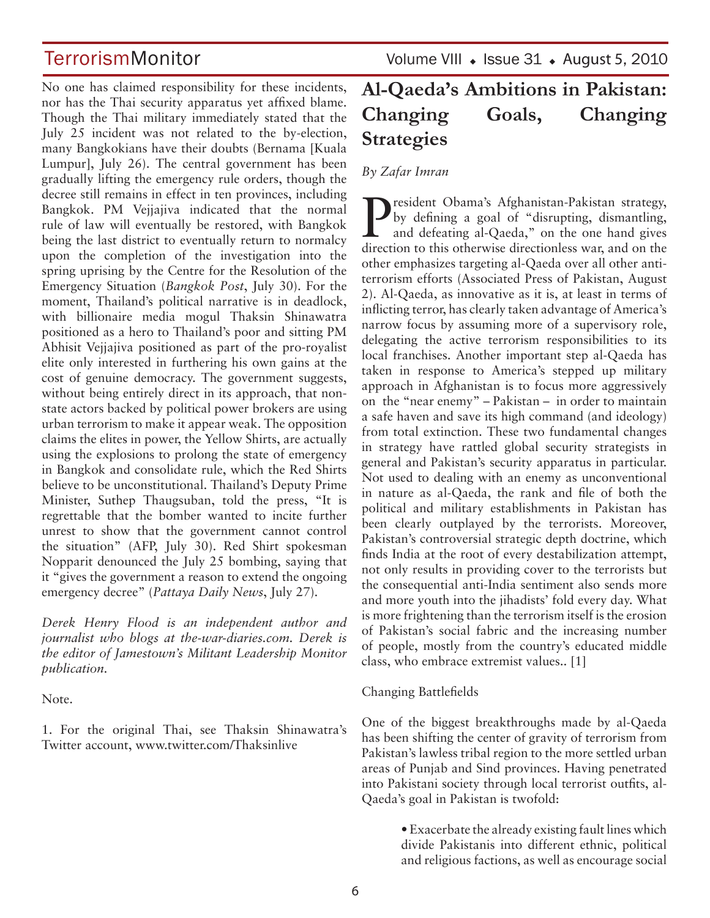No one has claimed responsibility for these incidents, nor has the Thai security apparatus yet affixed blame. Though the Thai military immediately stated that the July 25 incident was not related to the by-election, many Bangkokians have their doubts (Bernama [Kuala Lumpur], July 26). The central government has been gradually lifting the emergency rule orders, though the decree still remains in effect in ten provinces, including Bangkok. PM Vejjajiva indicated that the normal rule of law will eventually be restored, with Bangkok being the last district to eventually return to normalcy upon the completion of the investigation into the spring uprising by the Centre for the Resolution of the Emergency Situation (*Bangkok Post*, July 30). For the moment, Thailand's political narrative is in deadlock, with billionaire media mogul Thaksin Shinawatra positioned as a hero to Thailand's poor and sitting PM Abhisit Vejjajiva positioned as part of the pro-royalist elite only interested in furthering his own gains at the cost of genuine democracy. The government suggests, without being entirely direct in its approach, that nonstate actors backed by political power brokers are using urban terrorism to make it appear weak. The opposition claims the elites in power, the Yellow Shirts, are actually using the explosions to prolong the state of emergency in Bangkok and consolidate rule, which the Red Shirts believe to be unconstitutional. Thailand's Deputy Prime Minister, Suthep Thaugsuban, told the press, "It is regrettable that the bomber wanted to incite further unrest to show that the government cannot control the situation" (AFP, July 30). Red Shirt spokesman Nopparit denounced the July 25 bombing, saying that it "gives the government a reason to extend the ongoing emergency decree" (*Pattaya Daily News*, July 27).

*Derek Henry Flood is an independent author and journalist who blogs at the-war-diaries.com. Derek is the editor of Jamestown's Militant Leadership Monitor publication.*

Note.

1. For the original Thai, see Thaksin Shinawatra's Twitter account, www.twitter.com/Thaksinlive

TerrorismMonitor Volume VIII + Issue 31 + August 5, 2010

# **Al-Qaeda's Ambitions in Pakistan: Changing Goals, Changing Strategies**

*By Zafar Imran*

**P**resident Obama's Afghanistan-Pakistan strategy,<br>by defining a goal of "disrupting, dismantling,<br>and defeating al-Qaeda," on the one hand gives<br>direction to this otherwise directionless war, and on the by defining a goal of "disrupting, dismantling, and defeating al-Qaeda," on the one hand gives direction to this otherwise directionless war, and on the other emphasizes targeting al-Qaeda over all other antiterrorism efforts (Associated Press of Pakistan, August 2). Al-Qaeda, as innovative as it is, at least in terms of inflicting terror, has clearly taken advantage of America's narrow focus by assuming more of a supervisory role, delegating the active terrorism responsibilities to its local franchises. Another important step al-Qaeda has taken in response to America's stepped up military approach in Afghanistan is to focus more aggressively on the "near enemy" – Pakistan – in order to maintain a safe haven and save its high command (and ideology) from total extinction. These two fundamental changes in strategy have rattled global security strategists in general and Pakistan's security apparatus in particular. Not used to dealing with an enemy as unconventional in nature as al-Qaeda, the rank and file of both the political and military establishments in Pakistan has been clearly outplayed by the terrorists. Moreover, Pakistan's controversial strategic depth doctrine, which finds India at the root of every destabilization attempt, not only results in providing cover to the terrorists but the consequential anti-India sentiment also sends more and more youth into the jihadists' fold every day. What is more frightening than the terrorism itself is the erosion of Pakistan's social fabric and the increasing number of people, mostly from the country's educated middle class, who embrace extremist values.. [1]

#### Changing Battlefields

One of the biggest breakthroughs made by al-Qaeda has been shifting the center of gravity of terrorism from Pakistan's lawless tribal region to the more settled urban areas of Punjab and Sind provinces. Having penetrated into Pakistani society through local terrorist outfits, al-Qaeda's goal in Pakistan is twofold:

> • Exacerbate the already existing fault lines which divide Pakistanis into different ethnic, political and religious factions, as well as encourage social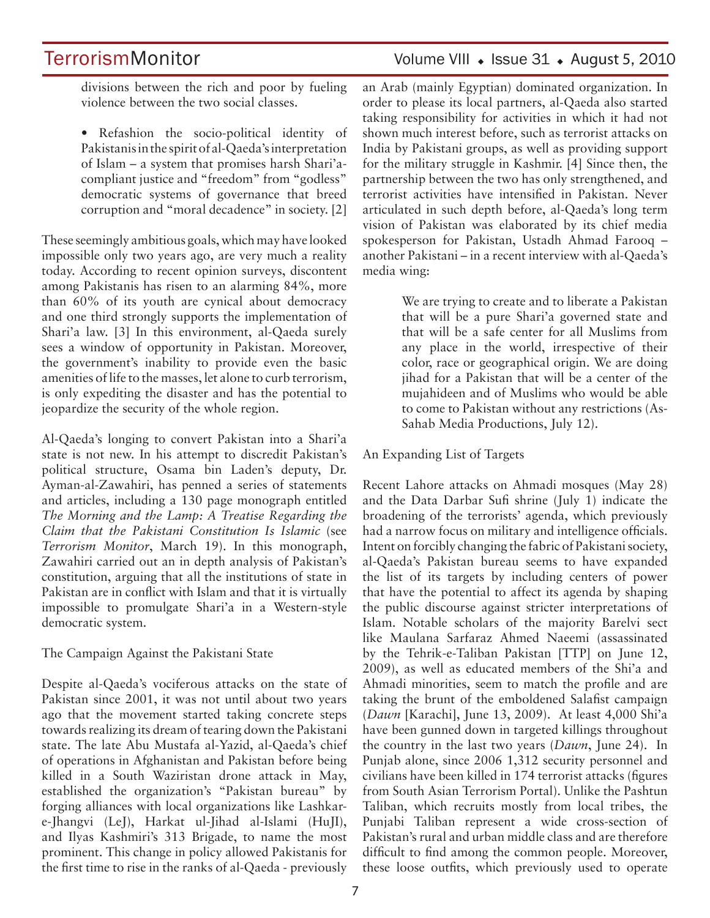# **TerrorismMonitor**

### Volume VIII  $\bullet$  Issue 31  $\bullet$  August 5, 2010

divisions between the rich and poor by fueling violence between the two social classes.

• Refashion the socio-political identity of Pakistanis in the spirit of al-Qaeda's interpretation of Islam – a system that promises harsh Shari'acompliant justice and "freedom" from "godless" democratic systems of governance that breed corruption and "moral decadence" in society. [2]

These seemingly ambitious goals, which may have looked impossible only two years ago, are very much a reality today. According to recent opinion surveys, discontent among Pakistanis has risen to an alarming 84%, more than 60% of its youth are cynical about democracy and one third strongly supports the implementation of Shari'a law. [3] In this environment, al-Qaeda surely sees a window of opportunity in Pakistan. Moreover, the government's inability to provide even the basic amenities of life to the masses, let alone to curb terrorism, is only expediting the disaster and has the potential to jeopardize the security of the whole region.

Al-Qaeda's longing to convert Pakistan into a Shari'a state is not new. In his attempt to discredit Pakistan's political structure, Osama bin Laden's deputy, Dr. Ayman-al-Zawahiri, has penned a series of statements and articles, including a 130 page monograph entitled *The Morning and the Lamp: A Treatise Regarding the Claim that the Pakistani Constitution Is Islamic* (see *Terrorism Monitor*, March 19). In this monograph, Zawahiri carried out an in depth analysis of Pakistan's constitution, arguing that all the institutions of state in Pakistan are in conflict with Islam and that it is virtually impossible to promulgate Shari'a in a Western-style democratic system.

The Campaign Against the Pakistani State

Despite al-Qaeda's vociferous attacks on the state of Pakistan since 2001, it was not until about two years ago that the movement started taking concrete steps towards realizing its dream of tearing down the Pakistani state. The late Abu Mustafa al-Yazid, al-Qaeda's chief of operations in Afghanistan and Pakistan before being killed in a South Waziristan drone attack in May, established the organization's "Pakistan bureau" by forging alliances with local organizations like Lashkare-Jhangvi (LeJ), Harkat ul-Jihad al-Islami (HuJI), and Ilyas Kashmiri's 313 Brigade, to name the most prominent. This change in policy allowed Pakistanis for the first time to rise in the ranks of al-Qaeda - previously

an Arab (mainly Egyptian) dominated organization. In order to please its local partners, al-Qaeda also started taking responsibility for activities in which it had not shown much interest before, such as terrorist attacks on India by Pakistani groups, as well as providing support for the military struggle in Kashmir. [4] Since then, the partnership between the two has only strengthened, and terrorist activities have intensified in Pakistan. Never articulated in such depth before, al-Qaeda's long term vision of Pakistan was elaborated by its chief media spokesperson for Pakistan, Ustadh Ahmad Farooq – another Pakistani – in a recent interview with al-Qaeda's media wing:

> We are trying to create and to liberate a Pakistan that will be a pure Shari'a governed state and that will be a safe center for all Muslims from any place in the world, irrespective of their color, race or geographical origin. We are doing jihad for a Pakistan that will be a center of the mujahideen and of Muslims who would be able to come to Pakistan without any restrictions (As-Sahab Media Productions, July 12).

#### An Expanding List of Targets

Recent Lahore attacks on Ahmadi mosques (May 28) and the Data Darbar Sufi shrine (July 1) indicate the broadening of the terrorists' agenda, which previously had a narrow focus on military and intelligence officials. Intent on forcibly changing the fabric of Pakistani society, al-Qaeda's Pakistan bureau seems to have expanded the list of its targets by including centers of power that have the potential to affect its agenda by shaping the public discourse against stricter interpretations of Islam. Notable scholars of the majority Barelvi sect like Maulana Sarfaraz Ahmed Naeemi (assassinated by the Tehrik-e-Taliban Pakistan [TTP] on June 12, 2009), as well as educated members of the Shi'a and Ahmadi minorities, seem to match the profile and are taking the brunt of the emboldened Salafist campaign (*Dawn* [Karachi], June 13, 2009). At least 4,000 Shi'a have been gunned down in targeted killings throughout the country in the last two years (*Dawn*, June 24). In Punjab alone, since 2006 1,312 security personnel and civilians have been killed in 174 terrorist attacks (figures from South Asian Terrorism Portal). Unlike the Pashtun Taliban, which recruits mostly from local tribes, the Punjabi Taliban represent a wide cross-section of Pakistan's rural and urban middle class and are therefore difficult to find among the common people. Moreover, these loose outfits, which previously used to operate